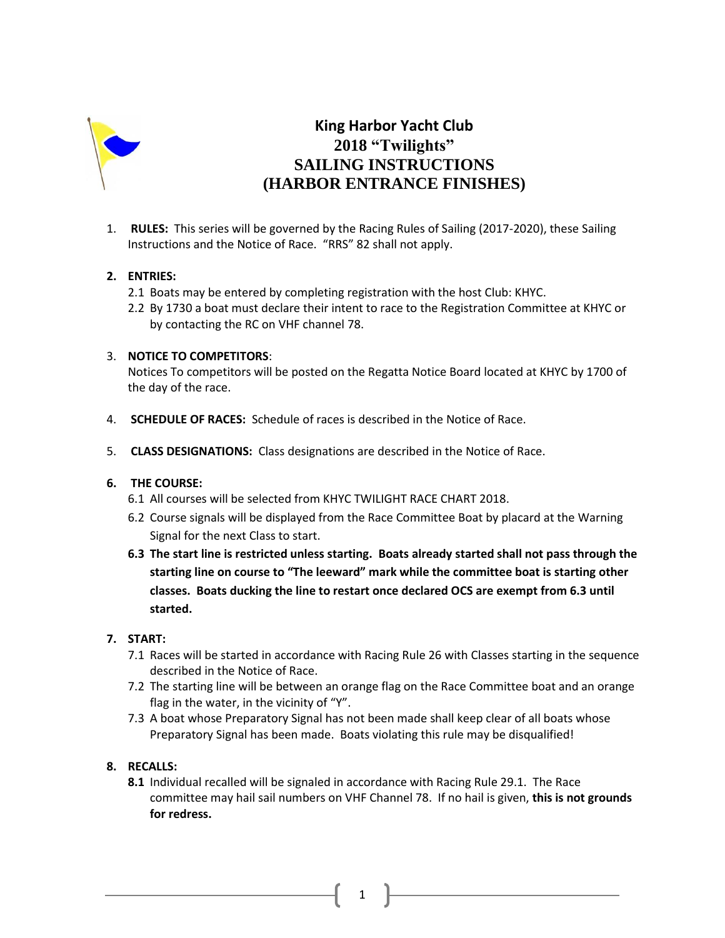

# **King Harbor Yacht Club 2018 "Twilights" SAILING INSTRUCTIONS (HARBOR ENTRANCE FINISHES)**

1. **RULES:** This series will be governed by the Racing Rules of Sailing (2017-2020), these Sailing Instructions and the Notice of Race. "RRS" 82 shall not apply.

## **2. ENTRIES:**

- 2.1 Boats may be entered by completing registration with the host Club: KHYC.
- 2.2 By 1730 a boat must declare their intent to race to the Registration Committee at KHYC or by contacting the RC on VHF channel 78.

### 3. **NOTICE TO COMPETITORS**:

Notices To competitors will be posted on the Regatta Notice Board located at KHYC by 1700 of the day of the race.

- 4. **SCHEDULE OF RACES:** Schedule of races is described in the Notice of Race.
- 5. **CLASS DESIGNATIONS:** Class designations are described in the Notice of Race.

### **6. THE COURSE:**

- 6.1 All courses will be selected from KHYC TWILIGHT RACE CHART 2018.
- 6.2 Course signals will be displayed from the Race Committee Boat by placard at the Warning Signal for the next Class to start.
- **6.3 The start line is restricted unless starting. Boats already started shall not pass through the starting line on course to "The leeward" mark while the committee boat is starting other classes. Boats ducking the line to restart once declared OCS are exempt from 6.3 until started.**

## **7. START:**

- 7.1 Races will be started in accordance with Racing Rule 26 with Classes starting in the sequence described in the Notice of Race.
- 7.2 The starting line will be between an orange flag on the Race Committee boat and an orange flag in the water, in the vicinity of "Y".
- 7.3 A boat whose Preparatory Signal has not been made shall keep clear of all boats whose Preparatory Signal has been made. Boats violating this rule may be disqualified!

### **8. RECALLS:**

**8.1** Individual recalled will be signaled in accordance with Racing Rule 29.1. The Race committee may hail sail numbers on VHF Channel 78. If no hail is given, **this is not grounds for redress.** 

1